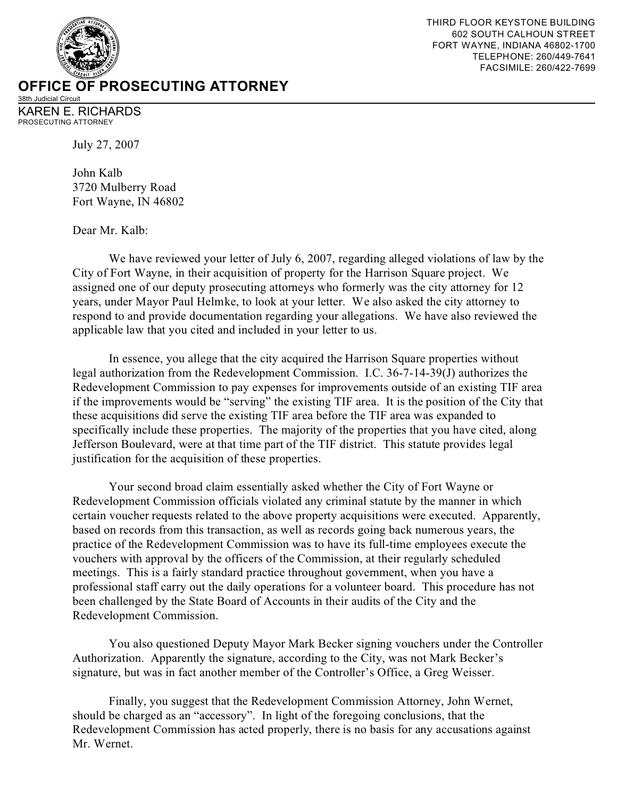

38th Judicial Circuit KAREN E. RICHARDS PROSECUTING ATTORNEY

July 27, 2007

John Kalb 3720 Mulberry Road Fort Wayne, IN 46802

Dear Mr. Kalb:

We have reviewed your letter of July 6, 2007, regarding alleged violations of law by the City of Fort Wayne, in their acquisition of property for the Harrison Square project. We assigned one of our deputy prosecuting attorneys who formerly was the city attorney for 12 years, under Mayor Paul Helmke, to look at your letter. We also asked the city attorney to respond to and provide documentation regarding your allegations. We have also reviewed the applicable law that you cited and included in your letter to us.

In essence, you allege that the city acquired the Harrison Square properties without legal authorization from the Redevelopment Commission. I.C. 36-7-14-39(J) authorizes the Redevelopment Commission to pay expenses for improvements outside of an existing TIF area if the improvements would be "serving" the existing TIF area. It is the position of the City that these acquisitions did serve the existing TIF area before the TIF area was expanded to specifically include these properties. The majority of the properties that you have cited, along Jefferson Boulevard, were at that time part of the TIF district. This statute provides legal justification for the acquisition of these properties.

Your second broad claim essentially asked whether the City of Fort Wayne or Redevelopment Commission officials violated any criminal statute by the manner in which certain voucher requests related to the above property acquisitions were executed. Apparently, based on records from this transaction, as well as records going back numerous years, the practice of the Redevelopment Commission was to have its full-time employees execute the vouchers with approval by the officers of the Commission, at their regularly scheduled meetings. This is a fairly standard practice throughout government, when you have a professional staff carry out the daily operations for a volunteer board. This procedure has not been challenged by the State Board of Accounts in their audits of the City and the Redevelopment Commission.

You also questioned Deputy Mayor Mark Becker signing vouchers under the Controller Authorization. Apparently the signature, according to the City, was not Mark Becker's signature, but was in fact another member of the Controller's Office, a Greg Weisser.

Finally, you suggest that the Redevelopment Commission Attorney, John Wernet, should be charged as an "accessory". In light of the foregoing conclusions, that the Redevelopment Commission has acted properly, there is no basis for any accusations against Mr. Wernet.